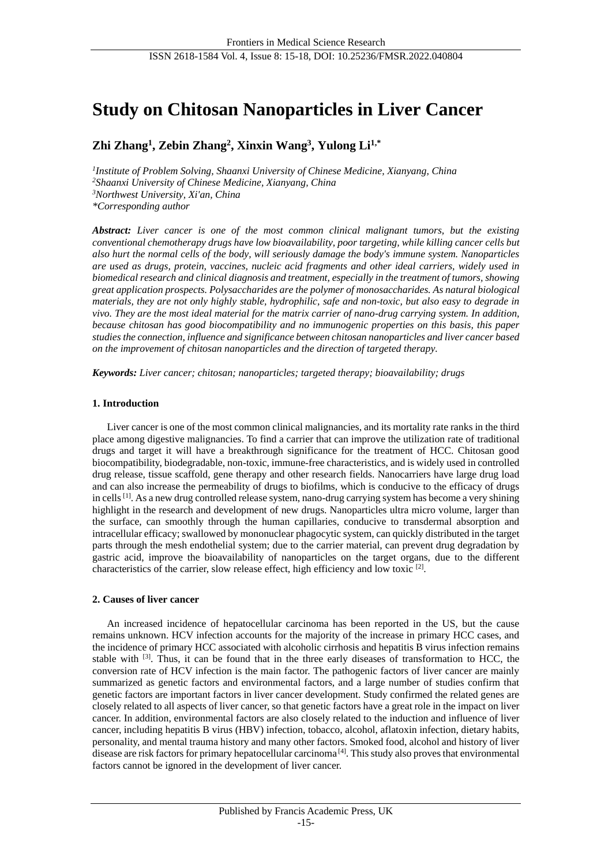# **Study on Chitosan Nanoparticles in Liver Cancer**

## **Zhi Zhang<sup>1</sup> , Zebin Zhang<sup>2</sup> , Xinxin Wang<sup>3</sup> , Yulong Li1,\***

 *Institute of Problem Solving, Shaanxi University of Chinese Medicine, Xianyang, China Shaanxi University of Chinese Medicine, Xianyang, China Northwest University, Xi'an, China \*Corresponding author*

*Abstract: Liver cancer is one of the most common clinical malignant tumors, but the existing conventional chemotherapy drugs have low bioavailability, poor targeting, while killing cancer cells but also hurt the normal cells of the body, will seriously damage the body's immune system. Nanoparticles are used as drugs, protein, vaccines, nucleic acid fragments and other ideal carriers, widely used in biomedical research and clinical diagnosis and treatment, especially in the treatment of tumors, showing great application prospects. Polysaccharides are the polymer of monosaccharides. As natural biological materials, they are not only highly stable, hydrophilic, safe and non-toxic, but also easy to degrade in vivo. They are the most ideal material for the matrix carrier of nano-drug carrying system. In addition, because chitosan has good biocompatibility and no immunogenic properties on this basis, this paper studies the connection, influence and significance between chitosan nanoparticles and liver cancer based on the improvement of chitosan nanoparticles and the direction of targeted therapy.* 

*Keywords: Liver cancer; chitosan; nanoparticles; targeted therapy; bioavailability; drugs*

## **1. Introduction**

Liver cancer is one of the most common clinical malignancies, and its mortality rate ranks in the third place among digestive malignancies. To find a carrier that can improve the utilization rate of traditional drugs and target it will have a breakthrough significance for the treatment of HCC. Chitosan good biocompatibility, biodegradable, non-toxic, immune-free characteristics, and is widely used in controlled drug release, tissue scaffold, gene therapy and other research fields. Nanocarriers have large drug load and can also increase the permeability of drugs to biofilms, which is conducive to the efficacy of drugs in cells<sup>[1]</sup>. As a new drug controlled release system, nano-drug carrying system has become a very shining highlight in the research and development of new drugs. Nanoparticles ultra micro volume, larger than the surface, can smoothly through the human capillaries, conducive to transdermal absorption and intracellular efficacy; swallowed by mononuclear phagocytic system, can quickly distributed in the target parts through the mesh endothelial system; due to the carrier material, can prevent drug degradation by gastric acid, improve the bioavailability of nanoparticles on the target organs, due to the different characteristics of the carrier, slow release effect, high efficiency and low toxic <sup>[2]</sup>.

## **2. Causes of liver cancer**

An increased incidence of hepatocellular carcinoma has been reported in the US, but the cause remains unknown. HCV infection accounts for the majority of the increase in primary HCC cases, and the incidence of primary HCC associated with alcoholic cirrhosis and hepatitis B virus infection remains stable with [3]. Thus, it can be found that in the three early diseases of transformation to HCC, the conversion rate of HCV infection is the main factor. The pathogenic factors of liver cancer are mainly summarized as genetic factors and environmental factors, and a large number of studies confirm that genetic factors are important factors in liver cancer development. Study confirmed the related genes are closely related to all aspects of liver cancer, so that genetic factors have a great role in the impact on liver cancer. In addition, environmental factors are also closely related to the induction and influence of liver cancer, including hepatitis B virus (HBV) infection, tobacco, alcohol, aflatoxin infection, dietary habits, personality, and mental trauma history and many other factors. Smoked food, alcohol and history of liver disease are risk factors for primary hepatocellular carcinoma [4]. This study also proves that environmental factors cannot be ignored in the development of liver cancer.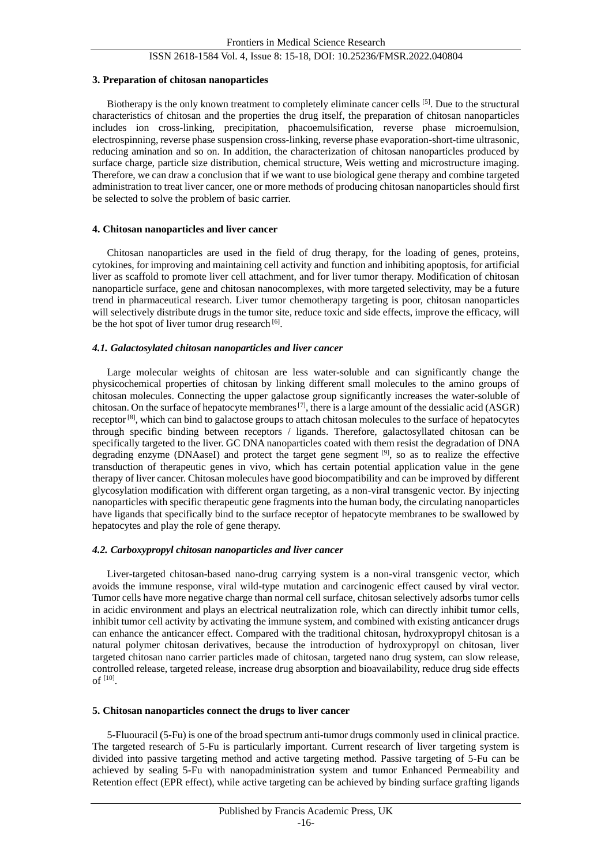## ISSN 2618-1584 Vol. 4, Issue 8: 15-18, DOI: 10.25236/FMSR.2022.040804

## **3. Preparation of chitosan nanoparticles**

Biotherapy is the only known treatment to completely eliminate cancer cells [5]. Due to the structural characteristics of chitosan and the properties the drug itself, the preparation of chitosan nanoparticles includes ion cross-linking, precipitation, phacoemulsification, reverse phase microemulsion, electrospinning, reverse phase suspension cross-linking, reverse phase evaporation-short-time ultrasonic, reducing amination and so on. In addition, the characterization of chitosan nanoparticles produced by surface charge, particle size distribution, chemical structure, Weis wetting and microstructure imaging. Therefore, we can draw a conclusion that if we want to use biological gene therapy and combine targeted administration to treat liver cancer, one or more methods of producing chitosan nanoparticles should first be selected to solve the problem of basic carrier.

## **4. Chitosan nanoparticles and liver cancer**

Chitosan nanoparticles are used in the field of drug therapy, for the loading of genes, proteins, cytokines, for improving and maintaining cell activity and function and inhibiting apoptosis, for artificial liver as scaffold to promote liver cell attachment, and for liver tumor therapy. Modification of chitosan nanoparticle surface, gene and chitosan nanocomplexes, with more targeted selectivity, may be a future trend in pharmaceutical research. Liver tumor chemotherapy targeting is poor, chitosan nanoparticles will selectively distribute drugs in the tumor site, reduce toxic and side effects, improve the efficacy, will be the hot spot of liver tumor drug research<sup>[6]</sup>.

## *4.1. Galactosylated chitosan nanoparticles and liver cancer*

Large molecular weights of chitosan are less water-soluble and can significantly change the physicochemical properties of chitosan by linking different small molecules to the amino groups of chitosan molecules. Connecting the upper galactose group significantly increases the water-soluble of chitosan. On the surface of hepatocyte membranes<sup>[7]</sup>, there is a large amount of the dessialic acid (ASGR) receptor<sup>[8]</sup>, which can bind to galactose groups to attach chitosan molecules to the surface of hepatocytes through specific binding between receptors / ligands. Therefore, galactosyllated chitosan can be specifically targeted to the liver. GC DNA nanoparticles coated with them resist the degradation of DNA degrading enzyme (DNAaseI) and protect the target gene segment [9], so as to realize the effective transduction of therapeutic genes in vivo, which has certain potential application value in the gene therapy of liver cancer. Chitosan molecules have good biocompatibility and can be improved by different glycosylation modification with different organ targeting, as a non-viral transgenic vector. By injecting nanoparticles with specific therapeutic gene fragments into the human body, the circulating nanoparticles have ligands that specifically bind to the surface receptor of hepatocyte membranes to be swallowed by hepatocytes and play the role of gene therapy.

## *4.2. Carboxypropyl chitosan nanoparticles and liver cancer*

Liver-targeted chitosan-based nano-drug carrying system is a non-viral transgenic vector, which avoids the immune response, viral wild-type mutation and carcinogenic effect caused by viral vector. Tumor cells have more negative charge than normal cell surface, chitosan selectively adsorbs tumor cells in acidic environment and plays an electrical neutralization role, which can directly inhibit tumor cells, inhibit tumor cell activity by activating the immune system, and combined with existing anticancer drugs can enhance the anticancer effect. Compared with the traditional chitosan, hydroxypropyl chitosan is a natural polymer chitosan derivatives, because the introduction of hydroxypropyl on chitosan, liver targeted chitosan nano carrier particles made of chitosan, targeted nano drug system, can slow release, controlled release, targeted release, increase drug absorption and bioavailability, reduce drug side effects of  $^{[10]}$ .

#### **5. Chitosan nanoparticles connect the drugs to liver cancer**

5-Fluouracil (5-Fu) is one of the broad spectrum anti-tumor drugs commonly used in clinical practice. The targeted research of 5-Fu is particularly important. Current research of liver targeting system is divided into passive targeting method and active targeting method. Passive targeting of 5-Fu can be achieved by sealing 5-Fu with nanopadministration system and tumor Enhanced Permeability and Retention effect (EPR effect), while active targeting can be achieved by binding surface grafting ligands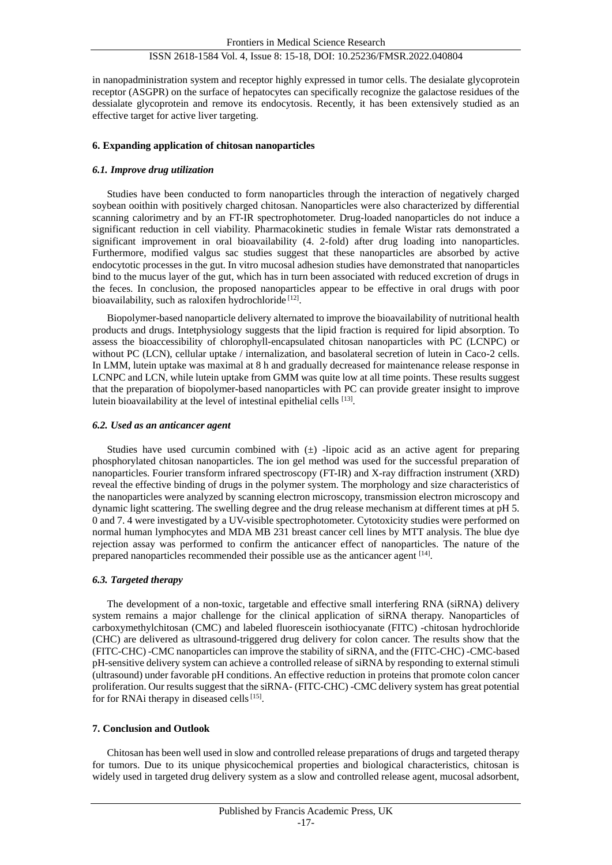## ISSN 2618-1584 Vol. 4, Issue 8: 15-18, DOI: 10.25236/FMSR.2022.040804

in nanopadministration system and receptor highly expressed in tumor cells. The desialate glycoprotein receptor (ASGPR) on the surface of hepatocytes can specifically recognize the galactose residues of the dessialate glycoprotein and remove its endocytosis. Recently, it has been extensively studied as an effective target for active liver targeting.

## **6. Expanding application of chitosan nanoparticles**

## *6.1. Improve drug utilization*

Studies have been conducted to form nanoparticles through the interaction of negatively charged soybean ooithin with positively charged chitosan. Nanoparticles were also characterized by differential scanning calorimetry and by an FT-IR spectrophotometer. Drug-loaded nanoparticles do not induce a significant reduction in cell viability. Pharmacokinetic studies in female Wistar rats demonstrated a significant improvement in oral bioavailability (4. 2-fold) after drug loading into nanoparticles. Furthermore, modified valgus sac studies suggest that these nanoparticles are absorbed by active endocytotic processes in the gut. In vitro mucosal adhesion studies have demonstrated that nanoparticles bind to the mucus layer of the gut, which has in turn been associated with reduced excretion of drugs in the feces. In conclusion, the proposed nanoparticles appear to be effective in oral drugs with poor bioavailability, such as raloxifen hydrochloride<sup>[12]</sup>.

Biopolymer-based nanoparticle delivery alternated to improve the bioavailability of nutritional health products and drugs. Intetphysiology suggests that the lipid fraction is required for lipid absorption. To assess the bioaccessibility of chlorophyll-encapsulated chitosan nanoparticles with PC (LCNPC) or without PC (LCN), cellular uptake / internalization, and basolateral secretion of lutein in Caco-2 cells. In LMM, lutein uptake was maximal at 8 h and gradually decreased for maintenance release response in LCNPC and LCN, while lutein uptake from GMM was quite low at all time points. These results suggest that the preparation of biopolymer-based nanoparticles with PC can provide greater insight to improve lutein bioavailability at the level of intestinal epithelial cells [13].

#### *6.2. Used as an anticancer agent*

Studies have used curcumin combined with  $(\pm)$  -lipoic acid as an active agent for preparing phosphorylated chitosan nanoparticles. The ion gel method was used for the successful preparation of nanoparticles. Fourier transform infrared spectroscopy (FT-IR) and X-ray diffraction instrument (XRD) reveal the effective binding of drugs in the polymer system. The morphology and size characteristics of the nanoparticles were analyzed by scanning electron microscopy, transmission electron microscopy and dynamic light scattering. The swelling degree and the drug release mechanism at different times at pH 5. 0 and 7. 4 were investigated by a UV-visible spectrophotometer. Cytotoxicity studies were performed on normal human lymphocytes and MDA MB 231 breast cancer cell lines by MTT analysis. The blue dye rejection assay was performed to confirm the anticancer effect of nanoparticles. The nature of the prepared nanoparticles recommended their possible use as the anticancer agent <sup>[14]</sup>.

## *6.3. Targeted therapy*

The development of a non-toxic, targetable and effective small interfering RNA (siRNA) delivery system remains a major challenge for the clinical application of siRNA therapy. Nanoparticles of carboxymethylchitosan (CMC) and labeled fluorescein isothiocyanate (FITC) -chitosan hydrochloride (CHC) are delivered as ultrasound-triggered drug delivery for colon cancer. The results show that the (FITC-CHC) -CMC nanoparticles can improve the stability of siRNA, and the (FITC-CHC) -CMC-based pH-sensitive delivery system can achieve a controlled release of siRNA by responding to external stimuli (ultrasound) under favorable pH conditions. An effective reduction in proteins that promote colon cancer proliferation. Our results suggest that the siRNA- (FITC-CHC) -CMC delivery system has great potential for for RNAi therapy in diseased cells  $[15]$ .

#### **7. Conclusion and Outlook**

Chitosan has been well used in slow and controlled release preparations of drugs and targeted therapy for tumors. Due to its unique physicochemical properties and biological characteristics, chitosan is widely used in targeted drug delivery system as a slow and controlled release agent, mucosal adsorbent,